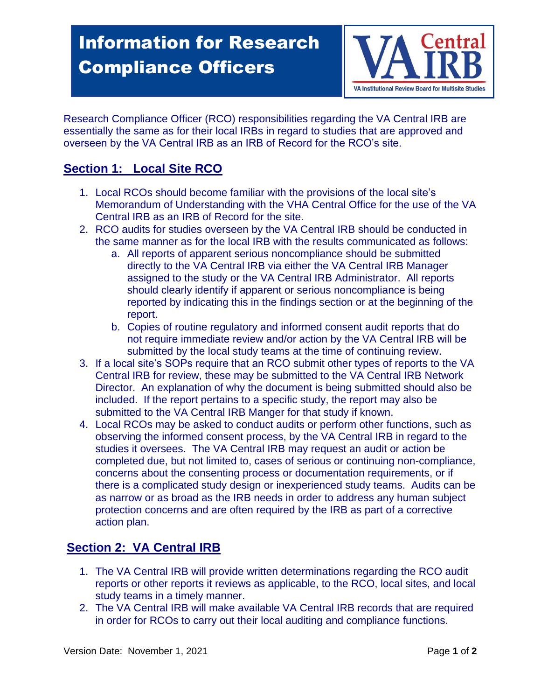# $\overline{\phantom{a}}$ Information for Research Compliance Officers



Research Compliance Officer (RCO) responsibilities regarding the VA Central IRB are essentially the same as for their local IRBs in regard to studies that are approved and overseen by the VA Central IRB as an IRB of Record for the RCO's site.

## **Section 1: Local Site RCO**

- 1. Local RCOs should become familiar with the provisions of the local site's Memorandum of Understanding with the VHA Central Office for the use of the VA Central IRB as an IRB of Record for the site.
- 2. RCO audits for studies overseen by the VA Central IRB should be conducted in the same manner as for the local IRB with the results communicated as follows:
	- a. All reports of apparent serious noncompliance should be submitted directly to the VA Central IRB via either the VA Central IRB Manager assigned to the study or the VA Central IRB Administrator. All reports should clearly identify if apparent or serious noncompliance is being reported by indicating this in the findings section or at the beginning of the report.
	- b. Copies of routine regulatory and informed consent audit reports that do not require immediate review and/or action by the VA Central IRB will be submitted by the local study teams at the time of continuing review.
- 3. If a local site's SOPs require that an RCO submit other types of reports to the VA Central IRB for review, these may be submitted to the VA Central IRB Network Director. An explanation of why the document is being submitted should also be included. If the report pertains to a specific study, the report may also be submitted to the VA Central IRB Manger for that study if known.
- 4. Local RCOs may be asked to conduct audits or perform other functions, such as observing the informed consent process, by the VA Central IRB in regard to the studies it oversees. The VA Central IRB may request an audit or action be completed due, but not limited to, cases of serious or continuing non-compliance, concerns about the consenting process or documentation requirements, or if there is a complicated study design or inexperienced study teams. Audits can be as narrow or as broad as the IRB needs in order to address any human subject protection concerns and are often required by the IRB as part of a corrective action plan.

### **Section 2: VA Central IRB**

- 1. The VA Central IRB will provide written determinations regarding the RCO audit reports or other reports it reviews as applicable, to the RCO, local sites, and local study teams in a timely manner.
- 2. The VA Central IRB will make available VA Central IRB records that are required in order for RCOs to carry out their local auditing and compliance functions.